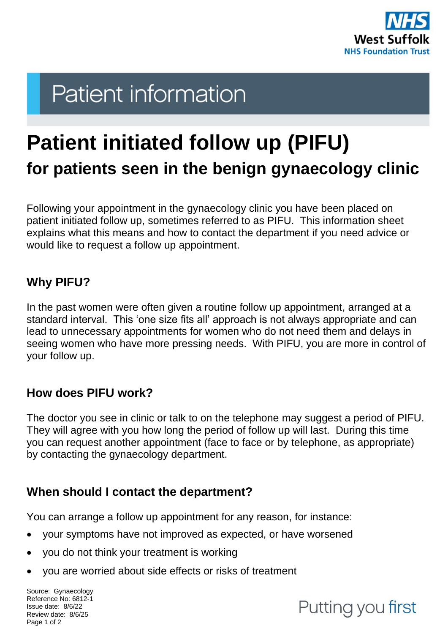

# **Patient information**

## **Patient initiated follow up (PIFU) for patients seen in the benign gynaecology clinic**

Following your appointment in the gynaecology clinic you have been placed on patient initiated follow up, sometimes referred to as PIFU. This information sheet explains what this means and how to contact the department if you need advice or would like to request a follow up appointment.

#### **Why PIFU?**

In the past women were often given a routine follow up appointment, arranged at a standard interval. This 'one size fits all' approach is not always appropriate and can lead to unnecessary appointments for women who do not need them and delays in seeing women who have more pressing needs. With PIFU, you are more in control of your follow up.

#### **How does PIFU work?**

The doctor you see in clinic or talk to on the telephone may suggest a period of PIFU. They will agree with you how long the period of follow up will last. During this time you can request another appointment (face to face or by telephone, as appropriate) by contacting the gynaecology department.

#### **When should I contact the department?**

You can arrange a follow up appointment for any reason, for instance:

- your symptoms have not improved as expected, or have worsened
- you do not think your treatment is working
- you are worried about side effects or risks of treatment

Source: Gynaecology Reference No: 6812-1 Issue date: 8/6/22 Review date: 8/6/25 Page 1 of 2

### Putting you first